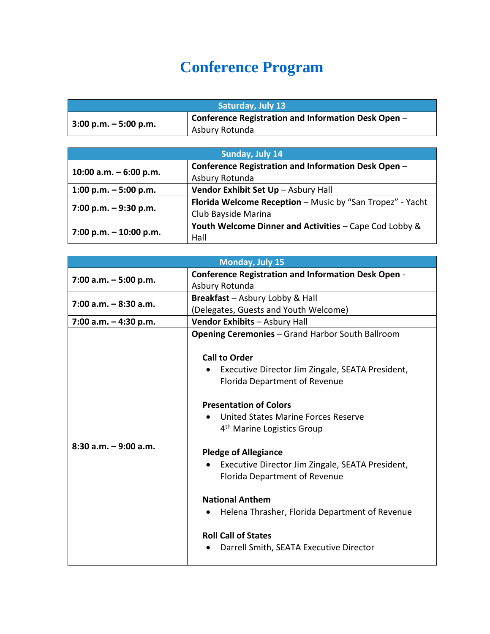## **Conference Program**

| <b>Saturday, July 13</b> |                                                     |
|--------------------------|-----------------------------------------------------|
| $3:00 p.m. - 5:00 p.m.$  | Conference Registration and Information Desk Open - |
|                          | Asbury Rotunda                                      |

| Sunday, July 14          |                                                           |
|--------------------------|-----------------------------------------------------------|
| 10:00 a.m. $-6:00$ p.m.  | Conference Registration and Information Desk Open -       |
|                          | Asbury Rotunda                                            |
| 1:00 p.m. $-5:00$ p.m.   | Vendor Exhibit Set Up - Asbury Hall                       |
| 7:00 p.m. $-9:30$ p.m.   | Florida Welcome Reception - Music by "San Tropez" - Yacht |
|                          | Club Bayside Marina                                       |
| $7:00 p.m. - 10:00 p.m.$ | Youth Welcome Dinner and Activities - Cape Cod Lobby &    |
|                          | Hall                                                      |

| <b>Monday, July 15</b>   |                                                            |
|--------------------------|------------------------------------------------------------|
| 7:00 a.m. $-5:00$ p.m.   | <b>Conference Registration and Information Desk Open -</b> |
|                          | Asbury Rotunda                                             |
| $7:00$ a.m. $-8:30$ a.m. | Breakfast - Asbury Lobby & Hall                            |
|                          | (Delegates, Guests and Youth Welcome)                      |
| $7:00$ a.m. $-4:30$ p.m. | Vendor Exhibits - Asbury Hall                              |
|                          | <b>Opening Ceremonies</b> - Grand Harbor South Ballroom    |
|                          |                                                            |
|                          | <b>Call to Order</b>                                       |
|                          | Executive Director Jim Zingale, SEATA President,           |
|                          | Florida Department of Revenue                              |
|                          |                                                            |
|                          | <b>Presentation of Colors</b>                              |
|                          | United States Marine Forces Reserve                        |
|                          | 4 <sup>th</sup> Marine Logistics Group                     |
| $8:30$ a.m. $-9:00$ a.m. |                                                            |
|                          | <b>Pledge of Allegiance</b>                                |
|                          | Executive Director Jim Zingale, SEATA President,           |
|                          | Florida Department of Revenue                              |
|                          |                                                            |
|                          | <b>National Anthem</b>                                     |
|                          | Helena Thrasher, Florida Department of Revenue             |
|                          |                                                            |
|                          | <b>Roll Call of States</b>                                 |
|                          | Darrell Smith, SEATA Executive Director                    |
|                          |                                                            |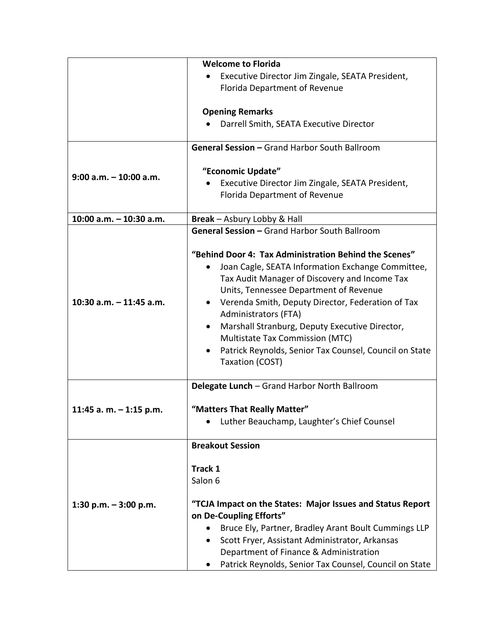|                           | <b>Welcome to Florida</b>                                           |
|---------------------------|---------------------------------------------------------------------|
|                           | Executive Director Jim Zingale, SEATA President,                    |
|                           | Florida Department of Revenue                                       |
|                           |                                                                     |
|                           | <b>Opening Remarks</b>                                              |
|                           | Darrell Smith, SEATA Executive Director                             |
|                           | General Session - Grand Harbor South Ballroom                       |
|                           |                                                                     |
| $9:00$ a.m. $-10:00$ a.m. | "Economic Update"                                                   |
|                           | Executive Director Jim Zingale, SEATA President,                    |
|                           | Florida Department of Revenue                                       |
| 10:00 a.m. - 10:30 a.m.   | Break - Asbury Lobby & Hall                                         |
|                           | General Session - Grand Harbor South Ballroom                       |
|                           |                                                                     |
|                           | "Behind Door 4: Tax Administration Behind the Scenes"               |
|                           | Joan Cagle, SEATA Information Exchange Committee,<br>$\bullet$      |
|                           | Tax Audit Manager of Discovery and Income Tax                       |
|                           | Units, Tennessee Department of Revenue                              |
| 10:30 a.m. $-$ 11:45 a.m. | Verenda Smith, Deputy Director, Federation of Tax                   |
|                           | Administrators (FTA)                                                |
|                           | Marshall Stranburg, Deputy Executive Director,<br>٠                 |
|                           | Multistate Tax Commission (MTC)                                     |
|                           | Patrick Reynolds, Senior Tax Counsel, Council on State<br>$\bullet$ |
|                           | Taxation (COST)                                                     |
|                           |                                                                     |
|                           | Delegate Lunch - Grand Harbor North Ballroom                        |
| 11:45 a. m. $-$ 1:15 p.m. | "Matters That Really Matter"                                        |
|                           | Luther Beauchamp, Laughter's Chief Counsel                          |
|                           |                                                                     |
|                           | <b>Breakout Session</b>                                             |
|                           | Track 1                                                             |
|                           | Salon 6                                                             |
|                           |                                                                     |
| 1:30 p.m. $-3:00$ p.m.    | "TCJA Impact on the States: Major Issues and Status Report          |
|                           | on De-Coupling Efforts"                                             |
|                           | Bruce Ely, Partner, Bradley Arant Boult Cummings LLP                |
|                           | Scott Fryer, Assistant Administrator, Arkansas                      |
|                           | Department of Finance & Administration                              |
|                           | Patrick Reynolds, Senior Tax Counsel, Council on State              |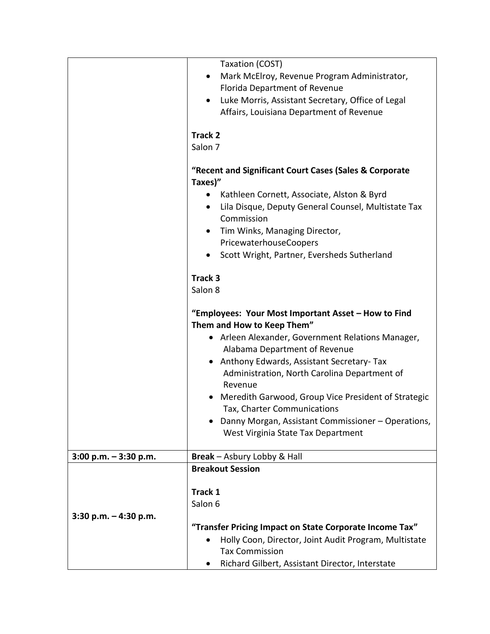|                         | Taxation (COST)                                                                            |
|-------------------------|--------------------------------------------------------------------------------------------|
|                         | Mark McElroy, Revenue Program Administrator,<br>$\bullet$<br>Florida Department of Revenue |
|                         | Luke Morris, Assistant Secretary, Office of Legal<br>$\bullet$                             |
|                         | Affairs, Louisiana Department of Revenue                                                   |
|                         | <b>Track 2</b>                                                                             |
|                         | Salon 7                                                                                    |
|                         | "Recent and Significant Court Cases (Sales & Corporate<br>Taxes)"                          |
|                         | Kathleen Cornett, Associate, Alston & Byrd                                                 |
|                         | Lila Disque, Deputy General Counsel, Multistate Tax<br>$\bullet$<br>Commission             |
|                         | Tim Winks, Managing Director,<br>$\bullet$                                                 |
|                         | PricewaterhouseCoopers                                                                     |
|                         | Scott Wright, Partner, Eversheds Sutherland<br>٠                                           |
|                         | Track 3                                                                                    |
|                         | Salon 8                                                                                    |
|                         | "Employees: Your Most Important Asset - How to Find<br>Them and How to Keep Them"          |
|                         | Arleen Alexander, Government Relations Manager,                                            |
|                         | Alabama Department of Revenue                                                              |
|                         | Anthony Edwards, Assistant Secretary-Tax<br>$\bullet$                                      |
|                         | Administration, North Carolina Department of<br>Revenue                                    |
|                         | Meredith Garwood, Group Vice President of Strategic<br>Tax, Charter Communications         |
|                         | Danny Morgan, Assistant Commissioner - Operations,                                         |
|                         | West Virginia State Tax Department                                                         |
| 3:00 p.m. $-$ 3:30 p.m. | Break - Asbury Lobby & Hall                                                                |
|                         | <b>Breakout Session</b>                                                                    |
|                         |                                                                                            |
|                         | Track 1                                                                                    |
| 3:30 p.m. $-$ 4:30 p.m. | Salon 6                                                                                    |
|                         | "Transfer Pricing Impact on State Corporate Income Tax"                                    |
|                         | Holly Coon, Director, Joint Audit Program, Multistate<br>$\bullet$                         |
|                         | <b>Tax Commission</b>                                                                      |
|                         | Richard Gilbert, Assistant Director, Interstate                                            |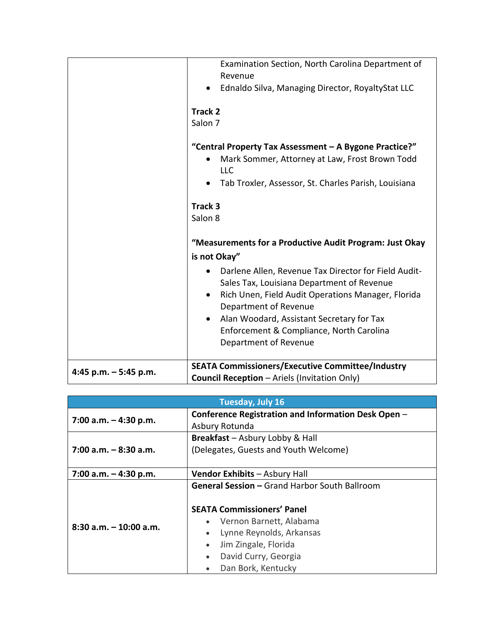|                        | Examination Section, North Carolina Department of<br>Revenue                                                                                                                                   |
|------------------------|------------------------------------------------------------------------------------------------------------------------------------------------------------------------------------------------|
|                        | Ednaldo Silva, Managing Director, RoyaltyStat LLC<br>$\bullet$                                                                                                                                 |
|                        | Track 2<br>Salon 7                                                                                                                                                                             |
|                        | "Central Property Tax Assessment - A Bygone Practice?"<br>Mark Sommer, Attorney at Law, Frost Brown Todd<br>LLC<br>Tab Troxler, Assessor, St. Charles Parish, Louisiana                        |
|                        | Track 3<br>Salon 8                                                                                                                                                                             |
|                        | "Measurements for a Productive Audit Program: Just Okay<br>is not Okay"                                                                                                                        |
|                        | Darlene Allen, Revenue Tax Director for Field Audit-<br>Sales Tax, Louisiana Department of Revenue<br>Rich Unen, Field Audit Operations Manager, Florida<br>$\bullet$<br>Department of Revenue |
|                        | Alan Woodard, Assistant Secretary for Tax<br>$\bullet$<br>Enforcement & Compliance, North Carolina<br>Department of Revenue                                                                    |
| 4:45 p.m. $-5:45$ p.m. | <b>SEATA Commissioners/Executive Committee/Industry</b>                                                                                                                                        |
|                        | <b>Council Reception - Ariels (Invitation Only)</b>                                                                                                                                            |

| <b>Tuesday, July 16</b>   |                                                      |
|---------------------------|------------------------------------------------------|
| 7:00 a.m. $-$ 4:30 p.m.   | Conference Registration and Information Desk Open -  |
|                           | Asbury Rotunda                                       |
|                           | <b>Breakfast</b> – Asbury Lobby & Hall               |
| $7:00$ a.m. $-8:30$ a.m.  | (Delegates, Guests and Youth Welcome)                |
|                           |                                                      |
| 7:00 a.m. $-$ 4:30 p.m.   | Vendor Exhibits - Asbury Hall                        |
|                           | <b>General Session - Grand Harbor South Ballroom</b> |
|                           | <b>SEATA Commissioners' Panel</b>                    |
|                           |                                                      |
| $8:30$ a.m. $-10:00$ a.m. | Vernon Barnett, Alabama<br>$\bullet$                 |
|                           | Lynne Reynolds, Arkansas<br>$\bullet$                |
|                           | Jim Zingale, Florida<br>$\bullet$                    |
|                           | David Curry, Georgia<br>$\bullet$                    |
|                           | Dan Bork, Kentucky<br>$\bullet$                      |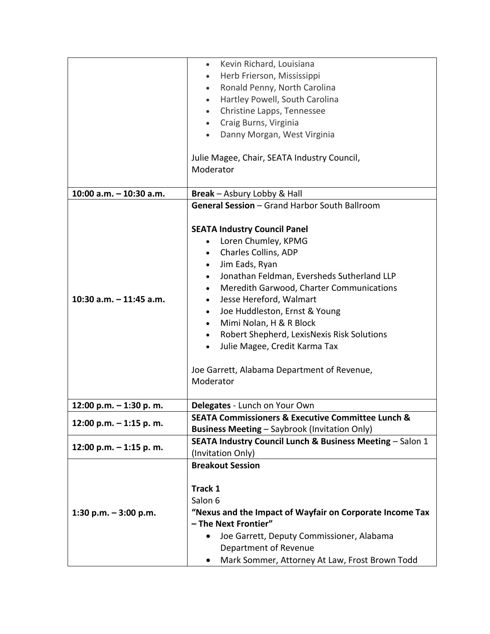|                           | Kevin Richard, Louisiana<br>$\bullet$                            |
|---------------------------|------------------------------------------------------------------|
|                           | Herb Frierson, Mississippi<br>$\bullet$                          |
|                           | Ronald Penny, North Carolina<br>$\bullet$                        |
|                           | Hartley Powell, South Carolina<br>$\bullet$                      |
|                           | Christine Lapps, Tennessee<br>$\bullet$                          |
|                           | Craig Burns, Virginia<br>$\bullet$                               |
|                           | Danny Morgan, West Virginia<br>$\bullet$                         |
|                           |                                                                  |
|                           | Julie Magee, Chair, SEATA Industry Council,                      |
|                           | Moderator                                                        |
|                           |                                                                  |
| 10:00 a.m. - 10:30 a.m.   | <b>Break</b> – Asbury Lobby & Hall                               |
|                           | General Session - Grand Harbor South Ballroom                    |
|                           |                                                                  |
|                           | <b>SEATA Industry Council Panel</b>                              |
|                           | Loren Chumley, KPMG<br>$\bullet$                                 |
|                           | Charles Collins, ADP                                             |
|                           | Jim Eads, Ryan<br>$\bullet$                                      |
|                           | Jonathan Feldman, Eversheds Sutherland LLP<br>$\bullet$          |
|                           | Meredith Garwood, Charter Communications<br>$\bullet$            |
| 10:30 a.m. $-$ 11:45 a.m. | Jesse Hereford, Walmart<br>$\bullet$                             |
|                           | Joe Huddleston, Ernst & Young                                    |
|                           | Mimi Nolan, H & R Block<br>$\bullet$                             |
|                           | Robert Shepherd, LexisNexis Risk Solutions<br>$\bullet$          |
|                           | Julie Magee, Credit Karma Tax<br>$\bullet$                       |
|                           |                                                                  |
|                           | Joe Garrett, Alabama Department of Revenue,                      |
|                           | Moderator                                                        |
|                           |                                                                  |
| 12:00 p.m. - 1:30 p. m.   | Delegates - Lunch on Your Own                                    |
| 12:00 p.m. $-$ 1:15 p.m.  | <b>SEATA Commissioners &amp; Executive Committee Lunch &amp;</b> |
|                           | <b>Business Meeting - Saybrook (Invitation Only)</b>             |
| 12:00 p.m. - 1:15 p. m.   | SEATA Industry Council Lunch & Business Meeting - Salon 1        |
|                           | (Invitation Only)                                                |
|                           | <b>Breakout Session</b>                                          |
| 1:30 p.m. $-$ 3:00 p.m.   |                                                                  |
|                           | Track 1                                                          |
|                           | Salon 6                                                          |
|                           | "Nexus and the Impact of Wayfair on Corporate Income Tax         |
|                           | - The Next Frontier"                                             |
|                           | Joe Garrett, Deputy Commissioner, Alabama                        |
|                           | Department of Revenue                                            |
|                           | Mark Sommer, Attorney At Law, Frost Brown Todd                   |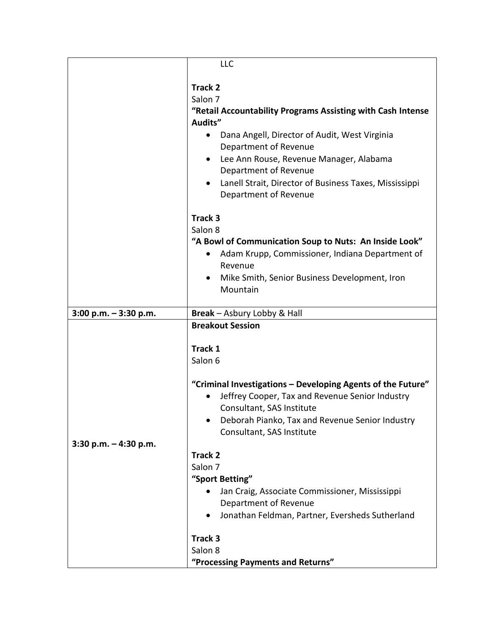|                          | LLC                                                                 |
|--------------------------|---------------------------------------------------------------------|
|                          |                                                                     |
|                          | <b>Track 2</b>                                                      |
|                          | Salon <sub>7</sub>                                                  |
|                          | "Retail Accountability Programs Assisting with Cash Intense         |
|                          | Audits"                                                             |
|                          | Dana Angell, Director of Audit, West Virginia<br>$\bullet$          |
|                          | Department of Revenue                                               |
|                          | Lee Ann Rouse, Revenue Manager, Alabama<br>$\bullet$                |
|                          |                                                                     |
|                          | Department of Revenue                                               |
|                          | Lanell Strait, Director of Business Taxes, Mississippi<br>$\bullet$ |
|                          | Department of Revenue                                               |
|                          | Track 3                                                             |
|                          | Salon 8                                                             |
|                          | "A Bowl of Communication Soup to Nuts: An Inside Look"              |
|                          | Adam Krupp, Commissioner, Indiana Department of<br>$\bullet$        |
|                          | Revenue                                                             |
|                          | Mike Smith, Senior Business Development, Iron                       |
|                          | Mountain                                                            |
|                          |                                                                     |
| $3:00$ p.m. $-3:30$ p.m. | Break - Asbury Lobby & Hall                                         |
|                          | <b>Breakout Session</b>                                             |
|                          |                                                                     |
|                          | Track 1                                                             |
|                          | Salon 6                                                             |
|                          |                                                                     |
|                          | "Criminal Investigations - Developing Agents of the Future"         |
|                          | Jeffrey Cooper, Tax and Revenue Senior Industry                     |
|                          | Consultant, SAS Institute                                           |
|                          | Deborah Pianko, Tax and Revenue Senior Industry<br>$\bullet$        |
|                          | Consultant, SAS Institute                                           |
| $3:30$ p.m. $-4:30$ p.m. |                                                                     |
|                          | <b>Track 2</b>                                                      |
|                          | Salon 7                                                             |
|                          | "Sport Betting"                                                     |
|                          | Jan Craig, Associate Commissioner, Mississippi                      |
|                          | Department of Revenue                                               |
|                          | Jonathan Feldman, Partner, Eversheds Sutherland<br>$\bullet$        |
|                          | Track 3                                                             |
|                          | Salon 8                                                             |
|                          |                                                                     |
|                          | "Processing Payments and Returns"                                   |